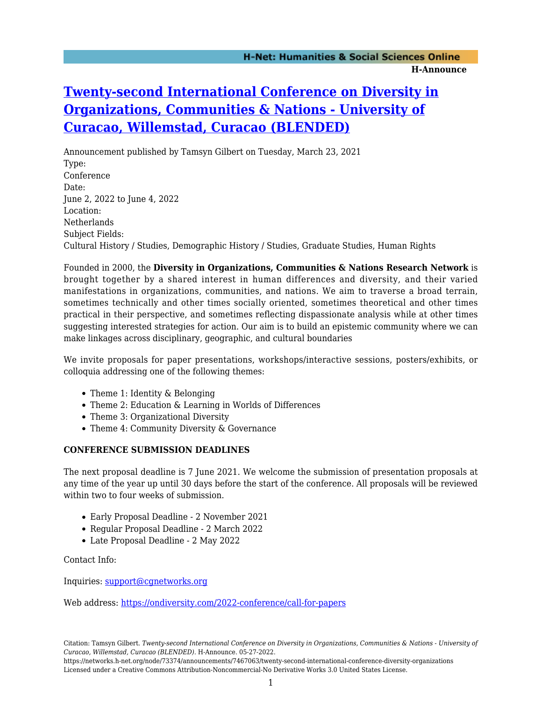## **[Twenty-second International Conference on Diversity in](https://networks.h-net.org/node/73374/announcements/7467063/twenty-second-international-conference-diversity-organizations) [Organizations, Communities & Nations - University of](https://networks.h-net.org/node/73374/announcements/7467063/twenty-second-international-conference-diversity-organizations) [Curacao, Willemstad, Curacao \(BLENDED\)](https://networks.h-net.org/node/73374/announcements/7467063/twenty-second-international-conference-diversity-organizations)**

Announcement published by Tamsyn Gilbert on Tuesday, March 23, 2021 Type: Conference Date: June 2, 2022 to June 4, 2022 Location: Netherlands Subject Fields: Cultural History / Studies, Demographic History / Studies, Graduate Studies, Human Rights

Founded in 2000, the **Diversity in Organizations, Communities & Nations Research Network** is brought together by a shared interest in human differences and diversity, and their varied manifestations in organizations, communities, and nations. We aim to traverse a broad terrain, sometimes technically and other times socially oriented, sometimes theoretical and other times practical in their perspective, and sometimes reflecting dispassionate analysis while at other times suggesting interested strategies for action. Our aim is to build an epistemic community where we can make linkages across disciplinary, geographic, and cultural boundaries

We invite proposals for paper presentations, workshops/interactive sessions, posters/exhibits, or colloquia addressing one of the following themes:

- Theme 1: Identity & Belonging
- Theme 2: Education & Learning in Worlds of Differences
- Theme 3: Organizational Diversity
- Theme 4: Community Diversity & Governance

## **CONFERENCE SUBMISSION DEADLINES**

The next proposal deadline is 7 June 2021. We welcome the submission of presentation proposals at any time of the year up until 30 days before the start of the conference. All proposals will be reviewed within two to four weeks of submission.

- Early Proposal Deadline 2 November 2021
- Regular Proposal Deadline 2 March 2022
- Late Proposal Deadline 2 May 2022

Contact Info:

Inquiries: [support@cgnetworks.org](mailto:support@cgnetworks.org)

Web address: <https://ondiversity.com/2022-conference/call-for-papers>

https://networks.h-net.org/node/73374/announcements/7467063/twenty-second-international-conference-diversity-organizations Licensed under a Creative Commons Attribution-Noncommercial-No Derivative Works 3.0 United States License.

Citation: Tamsyn Gilbert. *Twenty-second International Conference on Diversity in Organizations, Communities & Nations - University of Curacao, Willemstad, Curacao (BLENDED)*. H-Announce. 05-27-2022.